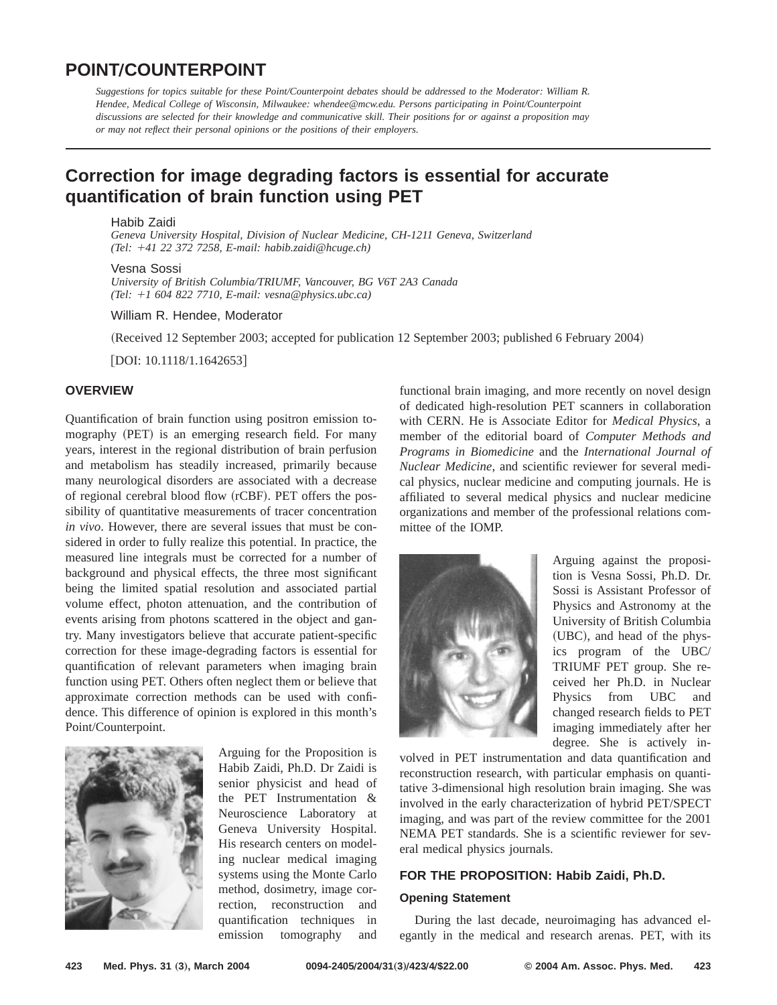# **POINTÕCOUNTERPOINT**

*Suggestions for topics suitable for these Point/Counterpoint debates should be addressed to the Moderator: William R. Hendee, Medical College of Wisconsin, Milwaukee: whendee@mcw.edu. Persons participating in Point/Counterpoint discussions are selected for their knowledge and communicative skill. Their positions for or against a proposition may or may not reflect their personal opinions or the positions of their employers.*

# **Correction for image degrading factors is essential for accurate quantification of brain function using PET**

### Habib Zaidi

*Geneva University Hospital, Division of Nuclear Medicine, CH-1211 Geneva, Switzerland (Tel:* <sup>1</sup>*41 22 372 7258, E-mail: habib.zaidi@hcuge.ch)*

#### Vesna Sossi

*University of British Columbia/TRIUMF, Vancouver, BG V6T 2A3 Canada (Tel:* <sup>1</sup>*1 604 822 7710, E-mail: vesna@physics.ubc.ca)*

William R. Hendee, Moderator

(Received 12 September 2003; accepted for publication 12 September 2003; published 6 February 2004)

[DOI: 10.1118/1.1642653]

# **OVERVIEW**

Quantification of brain function using positron emission tomography (PET) is an emerging research field. For many years, interest in the regional distribution of brain perfusion and metabolism has steadily increased, primarily because many neurological disorders are associated with a decrease of regional cerebral blood flow (rCBF). PET offers the possibility of quantitative measurements of tracer concentration *in vivo*. However, there are several issues that must be considered in order to fully realize this potential. In practice, the measured line integrals must be corrected for a number of background and physical effects, the three most significant being the limited spatial resolution and associated partial volume effect, photon attenuation, and the contribution of events arising from photons scattered in the object and gantry. Many investigators believe that accurate patient-specific correction for these image-degrading factors is essential for quantification of relevant parameters when imaging brain function using PET. Others often neglect them or believe that approximate correction methods can be used with confidence. This difference of opinion is explored in this month's Point/Counterpoint.



Arguing for the Proposition is Habib Zaidi, Ph.D. Dr Zaidi is senior physicist and head of the PET Instrumentation & Neuroscience Laboratory at Geneva University Hospital. His research centers on modeling nuclear medical imaging systems using the Monte Carlo method, dosimetry, image correction, reconstruction and quantification techniques in emission tomography and

functional brain imaging, and more recently on novel design of dedicated high-resolution PET scanners in collaboration with CERN. He is Associate Editor for *Medical Physics*, a member of the editorial board of *Computer Methods and Programs in Biomedicine* and the *International Journal of Nuclear Medicine*, and scientific reviewer for several medical physics, nuclear medicine and computing journals. He is affiliated to several medical physics and nuclear medicine organizations and member of the professional relations committee of the IOMP.



Arguing against the proposition is Vesna Sossi, Ph.D. Dr. Sossi is Assistant Professor of Physics and Astronomy at the University of British Columbia (UBC), and head of the physics program of the UBC/ TRIUMF PET group. She received her Ph.D. in Nuclear Physics from UBC and changed research fields to PET imaging immediately after her degree. She is actively in-

volved in PET instrumentation and data quantification and reconstruction research, with particular emphasis on quantitative 3-dimensional high resolution brain imaging. She was involved in the early characterization of hybrid PET/SPECT imaging, and was part of the review committee for the 2001 NEMA PET standards. She is a scientific reviewer for several medical physics journals.

# **FOR THE PROPOSITION: Habib Zaidi, Ph.D.**

#### **Opening Statement**

During the last decade, neuroimaging has advanced elegantly in the medical and research arenas. PET, with its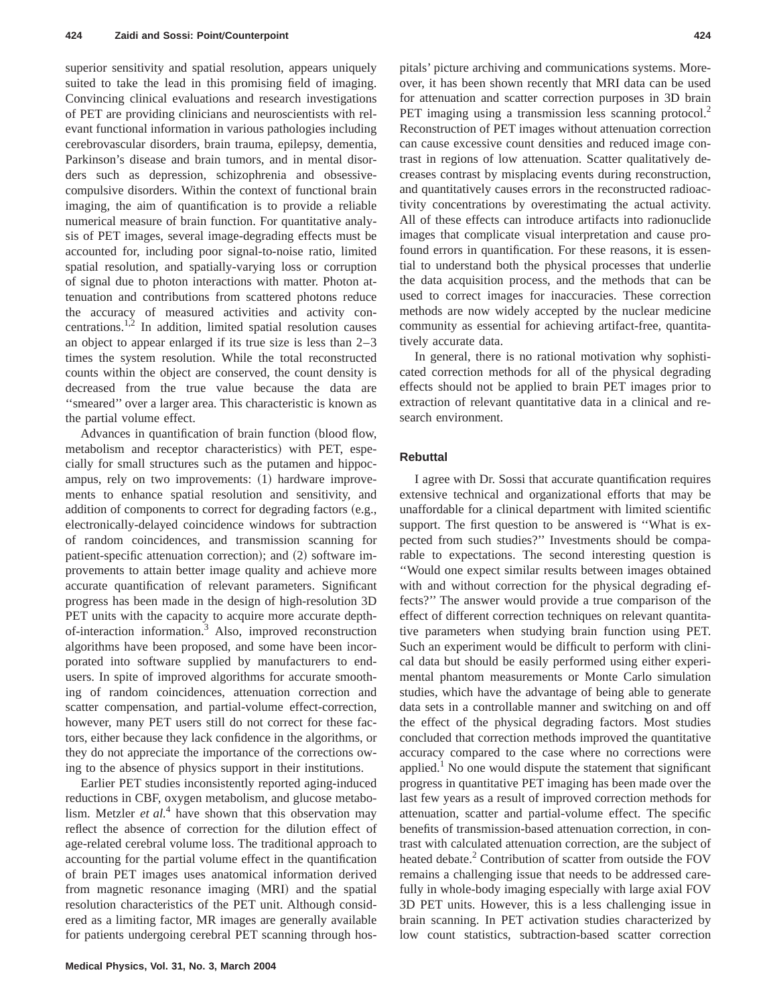superior sensitivity and spatial resolution, appears uniquely suited to take the lead in this promising field of imaging. Convincing clinical evaluations and research investigations of PET are providing clinicians and neuroscientists with relevant functional information in various pathologies including cerebrovascular disorders, brain trauma, epilepsy, dementia, Parkinson's disease and brain tumors, and in mental disorders such as depression, schizophrenia and obsessivecompulsive disorders. Within the context of functional brain imaging, the aim of quantification is to provide a reliable numerical measure of brain function. For quantitative analysis of PET images, several image-degrading effects must be accounted for, including poor signal-to-noise ratio, limited spatial resolution, and spatially-varying loss or corruption of signal due to photon interactions with matter. Photon attenuation and contributions from scattered photons reduce the accuracy of measured activities and activity concentrations.<sup>1,2</sup> In addition, limited spatial resolution causes an object to appear enlarged if its true size is less than 2–3 times the system resolution. While the total reconstructed counts within the object are conserved, the count density is decreased from the true value because the data are ''smeared'' over a larger area. This characteristic is known as the partial volume effect.

Advances in quantification of brain function (blood flow, metabolism and receptor characteristics) with PET, especially for small structures such as the putamen and hippocampus, rely on two improvements: (1) hardware improvements to enhance spatial resolution and sensitivity, and addition of components to correct for degrading factors (e.g., electronically-delayed coincidence windows for subtraction of random coincidences, and transmission scanning for patient-specific attenuation correction); and  $(2)$  software improvements to attain better image quality and achieve more accurate quantification of relevant parameters. Significant progress has been made in the design of high-resolution 3D PET units with the capacity to acquire more accurate depthof-interaction information.3 Also, improved reconstruction algorithms have been proposed, and some have been incorporated into software supplied by manufacturers to endusers. In spite of improved algorithms for accurate smoothing of random coincidences, attenuation correction and scatter compensation, and partial-volume effect-correction, however, many PET users still do not correct for these factors, either because they lack confidence in the algorithms, or they do not appreciate the importance of the corrections owing to the absence of physics support in their institutions.

Earlier PET studies inconsistently reported aging-induced reductions in CBF, oxygen metabolism, and glucose metabolism. Metzler *et al.*<sup>4</sup> have shown that this observation may reflect the absence of correction for the dilution effect of age-related cerebral volume loss. The traditional approach to accounting for the partial volume effect in the quantification of brain PET images uses anatomical information derived from magnetic resonance imaging (MRI) and the spatial resolution characteristics of the PET unit. Although considered as a limiting factor, MR images are generally available for patients undergoing cerebral PET scanning through hosReconstruction of PET images without attenuation correction can cause excessive count densities and reduced image contrast in regions of low attenuation. Scatter qualitatively decreases contrast by misplacing events during reconstruction, and quantitatively causes errors in the reconstructed radioactivity concentrations by overestimating the actual activity. All of these effects can introduce artifacts into radionuclide images that complicate visual interpretation and cause profound errors in quantification. For these reasons, it is essential to understand both the physical processes that underlie the data acquisition process, and the methods that can be used to correct images for inaccuracies. These correction methods are now widely accepted by the nuclear medicine community as essential for achieving artifact-free, quantitatively accurate data.

In general, there is no rational motivation why sophisticated correction methods for all of the physical degrading effects should not be applied to brain PET images prior to extraction of relevant quantitative data in a clinical and research environment.

## **Rebuttal**

I agree with Dr. Sossi that accurate quantification requires extensive technical and organizational efforts that may be unaffordable for a clinical department with limited scientific support. The first question to be answered is ''What is expected from such studies?'' Investments should be comparable to expectations. The second interesting question is ''Would one expect similar results between images obtained with and without correction for the physical degrading effects?'' The answer would provide a true comparison of the effect of different correction techniques on relevant quantitative parameters when studying brain function using PET. Such an experiment would be difficult to perform with clinical data but should be easily performed using either experimental phantom measurements or Monte Carlo simulation studies, which have the advantage of being able to generate data sets in a controllable manner and switching on and off the effect of the physical degrading factors. Most studies concluded that correction methods improved the quantitative accuracy compared to the case where no corrections were applied.<sup>1</sup> No one would dispute the statement that significant progress in quantitative PET imaging has been made over the last few years as a result of improved correction methods for attenuation, scatter and partial-volume effect. The specific benefits of transmission-based attenuation correction, in contrast with calculated attenuation correction, are the subject of heated debate.<sup>2</sup> Contribution of scatter from outside the FOV remains a challenging issue that needs to be addressed carefully in whole-body imaging especially with large axial FOV 3D PET units. However, this is a less challenging issue in brain scanning. In PET activation studies characterized by low count statistics, subtraction-based scatter correction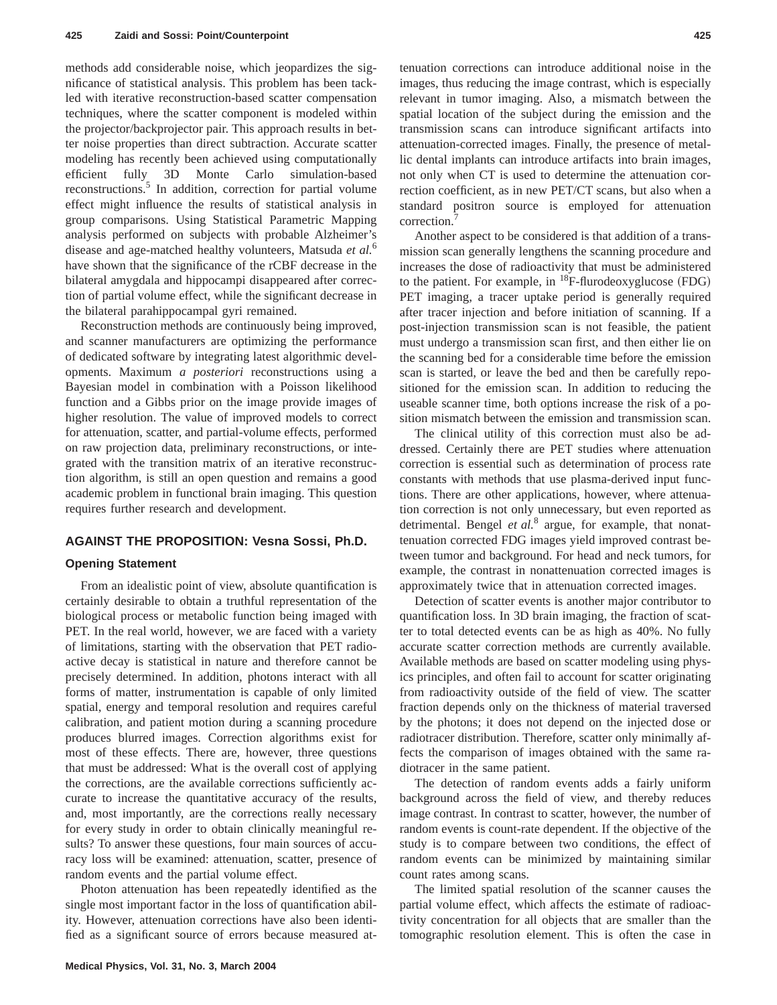methods add considerable noise, which jeopardizes the significance of statistical analysis. This problem has been tackled with iterative reconstruction-based scatter compensation techniques, where the scatter component is modeled within the projector/backprojector pair. This approach results in better noise properties than direct subtraction. Accurate scatter modeling has recently been achieved using computationally efficient fully 3D Monte Carlo simulation-based reconstructions.5 In addition, correction for partial volume effect might influence the results of statistical analysis in group comparisons. Using Statistical Parametric Mapping analysis performed on subjects with probable Alzheimer's disease and age-matched healthy volunteers, Matsuda *et al.*<sup>6</sup> have shown that the significance of the rCBF decrease in the bilateral amygdala and hippocampi disappeared after correction of partial volume effect, while the significant decrease in the bilateral parahippocampal gyri remained.

Reconstruction methods are continuously being improved, and scanner manufacturers are optimizing the performance of dedicated software by integrating latest algorithmic developments. Maximum *a posteriori* reconstructions using a Bayesian model in combination with a Poisson likelihood function and a Gibbs prior on the image provide images of higher resolution. The value of improved models to correct for attenuation, scatter, and partial-volume effects, performed on raw projection data, preliminary reconstructions, or integrated with the transition matrix of an iterative reconstruction algorithm, is still an open question and remains a good academic problem in functional brain imaging. This question requires further research and development.

#### **AGAINST THE PROPOSITION: Vesna Sossi, Ph.D.**

## **Opening Statement**

From an idealistic point of view, absolute quantification is certainly desirable to obtain a truthful representation of the biological process or metabolic function being imaged with PET. In the real world, however, we are faced with a variety of limitations, starting with the observation that PET radioactive decay is statistical in nature and therefore cannot be precisely determined. In addition, photons interact with all forms of matter, instrumentation is capable of only limited spatial, energy and temporal resolution and requires careful calibration, and patient motion during a scanning procedure produces blurred images. Correction algorithms exist for most of these effects. There are, however, three questions that must be addressed: What is the overall cost of applying the corrections, are the available corrections sufficiently accurate to increase the quantitative accuracy of the results, and, most importantly, are the corrections really necessary for every study in order to obtain clinically meaningful results? To answer these questions, four main sources of accuracy loss will be examined: attenuation, scatter, presence of random events and the partial volume effect.

Photon attenuation has been repeatedly identified as the single most important factor in the loss of quantification ability. However, attenuation corrections have also been identified as a significant source of errors because measured attenuation corrections can introduce additional noise in the images, thus reducing the image contrast, which is especially relevant in tumor imaging. Also, a mismatch between the spatial location of the subject during the emission and the transmission scans can introduce significant artifacts into attenuation-corrected images. Finally, the presence of metallic dental implants can introduce artifacts into brain images, not only when CT is used to determine the attenuation correction coefficient, as in new PET/CT scans, but also when a standard positron source is employed for attenuation correction.

Another aspect to be considered is that addition of a transmission scan generally lengthens the scanning procedure and increases the dose of radioactivity that must be administered to the patient. For example, in  ${}^{18}F$ -flurodeoxyglucose (FDG) PET imaging, a tracer uptake period is generally required after tracer injection and before initiation of scanning. If a post-injection transmission scan is not feasible, the patient must undergo a transmission scan first, and then either lie on the scanning bed for a considerable time before the emission scan is started, or leave the bed and then be carefully repositioned for the emission scan. In addition to reducing the useable scanner time, both options increase the risk of a position mismatch between the emission and transmission scan.

The clinical utility of this correction must also be addressed. Certainly there are PET studies where attenuation correction is essential such as determination of process rate constants with methods that use plasma-derived input functions. There are other applications, however, where attenuation correction is not only unnecessary, but even reported as detrimental. Bengel *et al.*<sup>8</sup> argue, for example, that nonattenuation corrected FDG images yield improved contrast between tumor and background. For head and neck tumors, for example, the contrast in nonattenuation corrected images is approximately twice that in attenuation corrected images.

Detection of scatter events is another major contributor to quantification loss. In 3D brain imaging, the fraction of scatter to total detected events can be as high as 40%. No fully accurate scatter correction methods are currently available. Available methods are based on scatter modeling using physics principles, and often fail to account for scatter originating from radioactivity outside of the field of view. The scatter fraction depends only on the thickness of material traversed by the photons; it does not depend on the injected dose or radiotracer distribution. Therefore, scatter only minimally affects the comparison of images obtained with the same radiotracer in the same patient.

The detection of random events adds a fairly uniform background across the field of view, and thereby reduces image contrast. In contrast to scatter, however, the number of random events is count-rate dependent. If the objective of the study is to compare between two conditions, the effect of random events can be minimized by maintaining similar count rates among scans.

The limited spatial resolution of the scanner causes the partial volume effect, which affects the estimate of radioactivity concentration for all objects that are smaller than the tomographic resolution element. This is often the case in